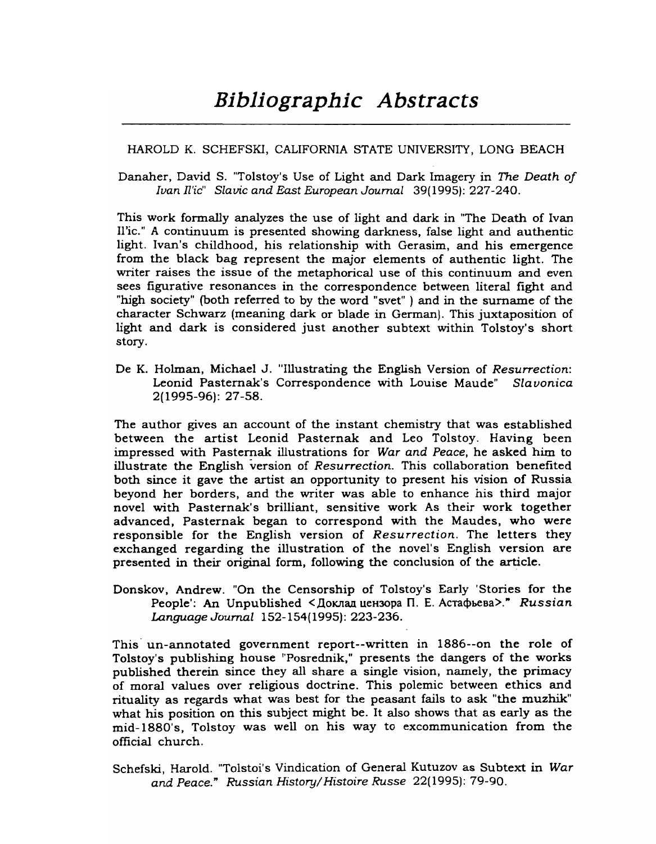## HAROLD K. SCHEFSKI, CALIFORNIA STATE UNIVERSITY, LONG BEACH

Danaher, David S. "Tolstoy's Use of Light and Dark Imagery in *The Death of Ivan fl'ic" Slavic and* East *European Journal* 39(1995): 227-240.

This work formally analyzes the use of light and dark in "The Death of Ivan II'ic." A continuum is presented showing darkness, false light and authentic light. Ivan's childhood, his relationship with Gerasim, and his emergence from the black bag represent the major elements of authentic light. The writer raises the issue of the metaphorical use of this continuum and even sees figurative resonances in the correspondence between literal fight and "high society" (both referred to by the word "svet" ) and in the surname of the character Schwarz (meaning dark or blade in German). This juxtaposition of light and dark is considered just another subtext within Tolstoy's short story.

De K. Holman, Michael J. "Illustrating the English Version of *Resurrection:* Leonid Pasternak's Correspondence with Louise Maude" *Slauonica* 2(1995-96): 27-58.

The author gives an account of the instant chemistry that was established between the artist Leonid Pasternak and Leo Tolstoy. Having been impressed with Pasternak illustrations for *War and Peace,* he asked him to illustrate the English version of *Resurrection.* This collaboration benefited both since it gave the artist an opportunity to present his vision of Russia beyond her borders, and the writer was able to enhance his third major novel with Pasternak's brilliant, sensitive work As their work together advanced, Pasternak began to correspond with the Maudes, who were responsible for the English version of *Resurrection.* The letters they exchanged regarding the illustration of the novel's English version are presented in their original form, following the conclusion of the article.

Donskov, Andrew. "On the Censorship of Tolstoy's Early 'Stories for the People': An Unpublished <Доклад цензора П. Е. Астафьева>." *Russian Language Journal* 152-154(1995): 223-236.

This' un-annotated government report--written in 1886--on the role of Tolstoy's publishing house "Posrednik," presents the dangers of the works published therein since they all share a single vision, namely, the primacy of moral values over religious doctrine. This polemic between ethics and rituality as regards what was best for the peasant fails to ask "the muzhik" what his position on this subject might be. It also shows that as early as the mid-1880's, Tolstoy was well on his way to excommunication from the official church.

Schefski, Harold. "Tolstoi's Vindication of General Kutuzov as Subtext in *War and Peace." Russian History/Histoire Russe* 22(1995): 79-90.